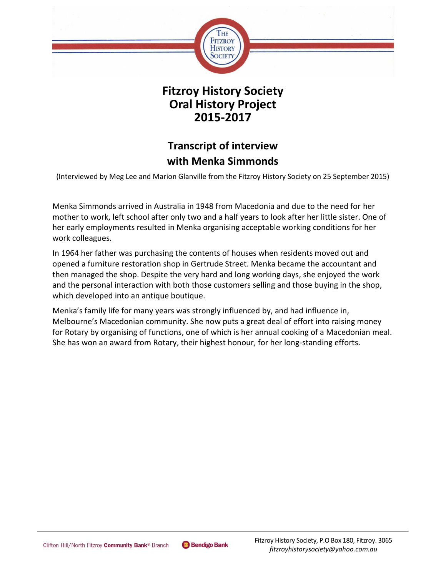

**Fitzroy History Society Oral History Project 2015-2017**

# **Transcript of interview with Menka Simmonds**

(Interviewed by Meg Lee and Marion Glanville from the Fitzroy History Society on 25 September 2015)

Menka Simmonds arrived in Australia in 1948 from Macedonia and due to the need for her mother to work, left school after only two and a half years to look after her little sister. One of her early employments resulted in Menka organising acceptable working conditions for her work colleagues.

In 1964 her father was purchasing the contents of houses when residents moved out and opened a furniture restoration shop in Gertrude Street. Menka became the accountant and then managed the shop. Despite the very hard and long working days, she enjoyed the work and the personal interaction with both those customers selling and those buying in the shop, which developed into an antique boutique.

Menka's family life for many years was strongly influenced by, and had influence in, Melbourne's Macedonian community. She now puts a great deal of effort into raising money for Rotary by organising of functions, one of which is her annual cooking of a Macedonian meal. She has won an award from Rotary, their highest honour, for her long-standing efforts.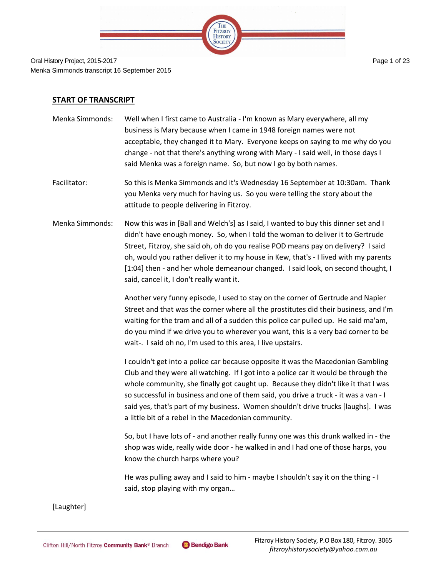

#### **START OF TRANSCRIPT**

- Menka Simmonds: Well when I first came to Australia I'm known as Mary everywhere, all my business is Mary because when I came in 1948 foreign names were not acceptable, they changed it to Mary. Everyone keeps on saying to me why do you change - not that there's anything wrong with Mary - I said well, in those days I said Menka was a foreign name. So, but now I go by both names.
- Facilitator: So this is Menka Simmonds and it's Wednesday 16 September at 10:30am. Thank you Menka very much for having us. So you were telling the story about the attitude to people delivering in Fitzroy.
- Menka Simmonds: Now this was in [Ball and Welch's] as I said, I wanted to buy this dinner set and I didn't have enough money. So, when I told the woman to deliver it to Gertrude Street, Fitzroy, she said oh, oh do you realise POD means pay on delivery? I said oh, would you rather deliver it to my house in Kew, that's - I lived with my parents [1:04] then - and her whole demeanour changed. I said look, on second thought, I said, cancel it, I don't really want it.

Another very funny episode, I used to stay on the corner of Gertrude and Napier Street and that was the corner where all the prostitutes did their business, and I'm waiting for the tram and all of a sudden this police car pulled up. He said ma'am, do you mind if we drive you to wherever you want, this is a very bad corner to be wait-. I said oh no, I'm used to this area, I live upstairs.

I couldn't get into a police car because opposite it was the Macedonian Gambling Club and they were all watching. If I got into a police car it would be through the whole community, she finally got caught up. Because they didn't like it that I was so successful in business and one of them said, you drive a truck - it was a van - I said yes, that's part of my business. Women shouldn't drive trucks [laughs]. I was a little bit of a rebel in the Macedonian community.

So, but I have lots of - and another really funny one was this drunk walked in - the shop was wide, really wide door - he walked in and I had one of those harps, you know the church harps where you?

He was pulling away and I said to him - maybe I shouldn't say it on the thing - I said, stop playing with my organ…

[Laughter]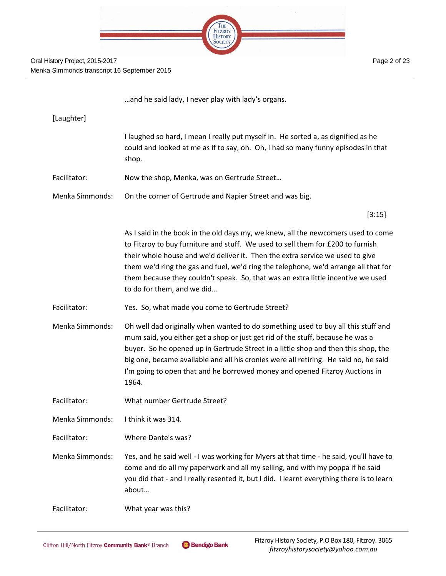

Page 2 of 23

…and he said lady, I never play with lady's organs.

| [Laughter]      |                                                                                                                                                                                                                                                                                                                                                                                                                                                                |
|-----------------|----------------------------------------------------------------------------------------------------------------------------------------------------------------------------------------------------------------------------------------------------------------------------------------------------------------------------------------------------------------------------------------------------------------------------------------------------------------|
|                 | I laughed so hard, I mean I really put myself in. He sorted a, as dignified as he<br>could and looked at me as if to say, oh. Oh, I had so many funny episodes in that<br>shop.                                                                                                                                                                                                                                                                                |
| Facilitator:    | Now the shop, Menka, was on Gertrude Street                                                                                                                                                                                                                                                                                                                                                                                                                    |
| Menka Simmonds: | On the corner of Gertrude and Napier Street and was big.                                                                                                                                                                                                                                                                                                                                                                                                       |
|                 | [3:15]                                                                                                                                                                                                                                                                                                                                                                                                                                                         |
|                 | As I said in the book in the old days my, we knew, all the newcomers used to come<br>to Fitzroy to buy furniture and stuff. We used to sell them for £200 to furnish<br>their whole house and we'd deliver it. Then the extra service we used to give<br>them we'd ring the gas and fuel, we'd ring the telephone, we'd arrange all that for<br>them because they couldn't speak. So, that was an extra little incentive we used<br>to do for them, and we did |
| Facilitator:    | Yes. So, what made you come to Gertrude Street?                                                                                                                                                                                                                                                                                                                                                                                                                |
| Menka Simmonds: | Oh well dad originally when wanted to do something used to buy all this stuff and<br>mum said, you either get a shop or just get rid of the stuff, because he was a<br>buyer. So he opened up in Gertrude Street in a little shop and then this shop, the<br>big one, became available and all his cronies were all retiring. He said no, he said<br>I'm going to open that and he borrowed money and opened Fitzroy Auctions in<br>1964.                      |
| Facilitator:    | What number Gertrude Street?                                                                                                                                                                                                                                                                                                                                                                                                                                   |
| Menka Simmonds: | I think it was 314.                                                                                                                                                                                                                                                                                                                                                                                                                                            |
| Facilitator:    | Where Dante's was?                                                                                                                                                                                                                                                                                                                                                                                                                                             |
| Menka Simmonds: | Yes, and he said well - I was working for Myers at that time - he said, you'll have to<br>come and do all my paperwork and all my selling, and with my poppa if he said<br>you did that - and I really resented it, but I did. I learnt everything there is to learn<br>about                                                                                                                                                                                  |
| Facilitator:    | What year was this?                                                                                                                                                                                                                                                                                                                                                                                                                                            |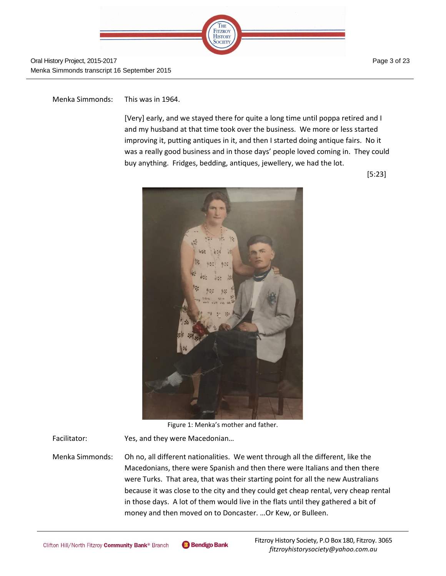

Page 3 of 23

Menka Simmonds: This was in 1964.

[Very] early, and we stayed there for quite a long time until poppa retired and I and my husband at that time took over the business. We more or less started improving it, putting antiques in it, and then I started doing antique fairs. No it was a really good business and in those days' people loved coming in. They could buy anything. Fridges, bedding, antiques, jewellery, we had the lot.

[5:23]



Figure 1: Menka's mother and father.

Facilitator: Yes, and they were Macedonian...

Menka Simmonds: Oh no, all different nationalities. We went through all the different, like the Macedonians, there were Spanish and then there were Italians and then there were Turks. That area, that was their starting point for all the new Australians because it was close to the city and they could get cheap rental, very cheap rental in those days. A lot of them would live in the flats until they gathered a bit of money and then moved on to Doncaster. …Or Kew, or Bulleen.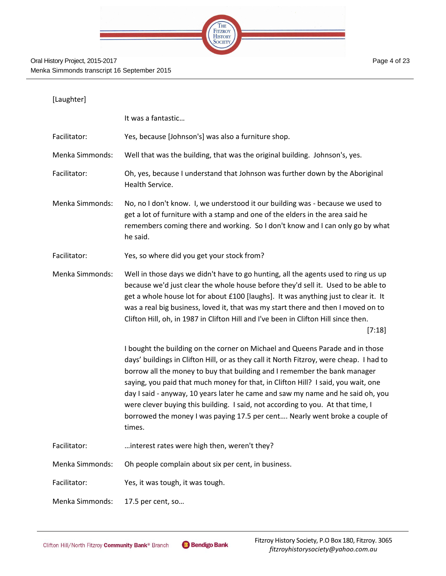

| [Laughter]             |                                                                                                                                                                                                                                                                                                                                                                                                                                                                                                                                                                                                           |
|------------------------|-----------------------------------------------------------------------------------------------------------------------------------------------------------------------------------------------------------------------------------------------------------------------------------------------------------------------------------------------------------------------------------------------------------------------------------------------------------------------------------------------------------------------------------------------------------------------------------------------------------|
|                        | It was a fantastic                                                                                                                                                                                                                                                                                                                                                                                                                                                                                                                                                                                        |
| Facilitator:           | Yes, because [Johnson's] was also a furniture shop.                                                                                                                                                                                                                                                                                                                                                                                                                                                                                                                                                       |
| Menka Simmonds:        | Well that was the building, that was the original building. Johnson's, yes.                                                                                                                                                                                                                                                                                                                                                                                                                                                                                                                               |
| Facilitator:           | Oh, yes, because I understand that Johnson was further down by the Aboriginal<br>Health Service.                                                                                                                                                                                                                                                                                                                                                                                                                                                                                                          |
| <b>Menka Simmonds:</b> | No, no I don't know. I, we understood it our building was - because we used to<br>get a lot of furniture with a stamp and one of the elders in the area said he<br>remembers coming there and working. So I don't know and I can only go by what<br>he said.                                                                                                                                                                                                                                                                                                                                              |
| Facilitator:           | Yes, so where did you get your stock from?                                                                                                                                                                                                                                                                                                                                                                                                                                                                                                                                                                |
| <b>Menka Simmonds:</b> | Well in those days we didn't have to go hunting, all the agents used to ring us up<br>because we'd just clear the whole house before they'd sell it. Used to be able to<br>get a whole house lot for about £100 [laughs]. It was anything just to clear it. It<br>was a real big business, loved it, that was my start there and then I moved on to<br>Clifton Hill, oh, in 1987 in Clifton Hill and I've been in Clifton Hill since then.<br>[7:18]                                                                                                                                                      |
|                        | I bought the building on the corner on Michael and Queens Parade and in those<br>days' buildings in Clifton Hill, or as they call it North Fitzroy, were cheap. I had to<br>borrow all the money to buy that building and I remember the bank manager<br>saying, you paid that much money for that, in Clifton Hill? I said, you wait, one<br>day I said - anyway, 10 years later he came and saw my name and he said oh, you<br>were clever buying this building. I said, not according to you. At that time, I<br>borrowed the money I was paying 17.5 per cent Nearly went broke a couple of<br>times. |
| Facilitator:           | interest rates were high then, weren't they?                                                                                                                                                                                                                                                                                                                                                                                                                                                                                                                                                              |
| Menka Simmonds:        | Oh people complain about six per cent, in business.                                                                                                                                                                                                                                                                                                                                                                                                                                                                                                                                                       |
| Facilitator:           | Yes, it was tough, it was tough.                                                                                                                                                                                                                                                                                                                                                                                                                                                                                                                                                                          |
| Menka Simmonds:        | 17.5 per cent, so                                                                                                                                                                                                                                                                                                                                                                                                                                                                                                                                                                                         |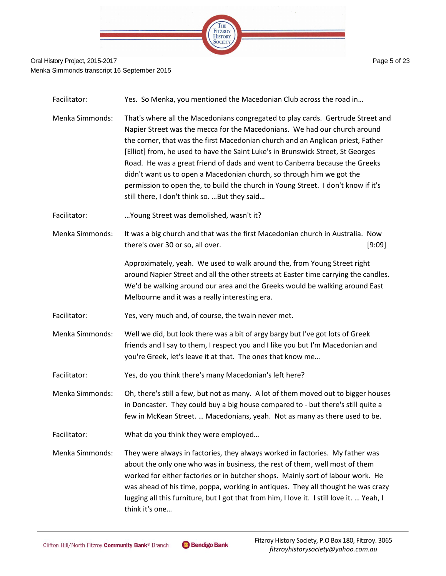

| Facilitator:    | Yes. So Menka, you mentioned the Macedonian Club across the road in                                                                                                                                                                                                                                                                                                                                                                                                                                                                                                                                                              |
|-----------------|----------------------------------------------------------------------------------------------------------------------------------------------------------------------------------------------------------------------------------------------------------------------------------------------------------------------------------------------------------------------------------------------------------------------------------------------------------------------------------------------------------------------------------------------------------------------------------------------------------------------------------|
| Menka Simmonds: | That's where all the Macedonians congregated to play cards. Gertrude Street and<br>Napier Street was the mecca for the Macedonians. We had our church around<br>the corner, that was the first Macedonian church and an Anglican priest, Father<br>[Elliot] from, he used to have the Saint Luke's in Brunswick Street, St Georges<br>Road. He was a great friend of dads and went to Canberra because the Greeks<br>didn't want us to open a Macedonian church, so through him we got the<br>permission to open the, to build the church in Young Street. I don't know if it's<br>still there, I don't think so.  But they said |
| Facilitator:    | Young Street was demolished, wasn't it?                                                                                                                                                                                                                                                                                                                                                                                                                                                                                                                                                                                          |
| Menka Simmonds: | It was a big church and that was the first Macedonian church in Australia. Now<br>there's over 30 or so, all over.<br>[9:09]                                                                                                                                                                                                                                                                                                                                                                                                                                                                                                     |
|                 | Approximately, yeah. We used to walk around the, from Young Street right<br>around Napier Street and all the other streets at Easter time carrying the candles.<br>We'd be walking around our area and the Greeks would be walking around East<br>Melbourne and it was a really interesting era.                                                                                                                                                                                                                                                                                                                                 |
| Facilitator:    | Yes, very much and, of course, the twain never met.                                                                                                                                                                                                                                                                                                                                                                                                                                                                                                                                                                              |
| Menka Simmonds: | Well we did, but look there was a bit of argy bargy but I've got lots of Greek<br>friends and I say to them, I respect you and I like you but I'm Macedonian and<br>you're Greek, let's leave it at that. The ones that know me                                                                                                                                                                                                                                                                                                                                                                                                  |
| Facilitator:    | Yes, do you think there's many Macedonian's left here?                                                                                                                                                                                                                                                                                                                                                                                                                                                                                                                                                                           |
| Menka Simmonds: | Oh, there's still a few, but not as many. A lot of them moved out to bigger houses<br>in Doncaster. They could buy a big house compared to - but there's still quite a<br>few in McKean Street.  Macedonians, yeah. Not as many as there used to be.                                                                                                                                                                                                                                                                                                                                                                             |
| Facilitator:    | What do you think they were employed                                                                                                                                                                                                                                                                                                                                                                                                                                                                                                                                                                                             |
| Menka Simmonds: | They were always in factories, they always worked in factories. My father was<br>about the only one who was in business, the rest of them, well most of them<br>worked for either factories or in butcher shops. Mainly sort of labour work. He<br>was ahead of his time, poppa, working in antiques. They all thought he was crazy<br>lugging all this furniture, but I got that from him, I love it. I still love it.  Yeah, I<br>think it's one                                                                                                                                                                               |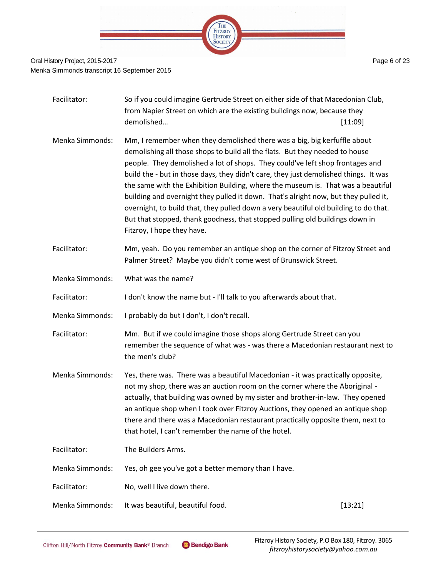

| Facilitator:           | So if you could imagine Gertrude Street on either side of that Macedonian Club,<br>from Napier Street on which are the existing buildings now, because they<br>demolished                                                                                                                                                                                                                                                                                                                                                                                                                                                                                                                                          | [11:09] |
|------------------------|--------------------------------------------------------------------------------------------------------------------------------------------------------------------------------------------------------------------------------------------------------------------------------------------------------------------------------------------------------------------------------------------------------------------------------------------------------------------------------------------------------------------------------------------------------------------------------------------------------------------------------------------------------------------------------------------------------------------|---------|
| <b>Menka Simmonds:</b> | Mm, I remember when they demolished there was a big, big kerfuffle about<br>demolishing all those shops to build all the flats. But they needed to house<br>people. They demolished a lot of shops. They could've left shop frontages and<br>build the - but in those days, they didn't care, they just demolished things. It was<br>the same with the Exhibition Building, where the museum is. That was a beautiful<br>building and overnight they pulled it down. That's alright now, but they pulled it,<br>overnight, to build that, they pulled down a very beautiful old building to do that.<br>But that stopped, thank goodness, that stopped pulling old buildings down in<br>Fitzroy, I hope they have. |         |
| Facilitator:           | Mm, yeah. Do you remember an antique shop on the corner of Fitzroy Street and<br>Palmer Street? Maybe you didn't come west of Brunswick Street.                                                                                                                                                                                                                                                                                                                                                                                                                                                                                                                                                                    |         |
| Menka Simmonds:        | What was the name?                                                                                                                                                                                                                                                                                                                                                                                                                                                                                                                                                                                                                                                                                                 |         |
| Facilitator:           | I don't know the name but - I'll talk to you afterwards about that.                                                                                                                                                                                                                                                                                                                                                                                                                                                                                                                                                                                                                                                |         |
| Menka Simmonds:        | I probably do but I don't, I don't recall.                                                                                                                                                                                                                                                                                                                                                                                                                                                                                                                                                                                                                                                                         |         |
| Facilitator:           | Mm. But if we could imagine those shops along Gertrude Street can you<br>remember the sequence of what was - was there a Macedonian restaurant next to<br>the men's club?                                                                                                                                                                                                                                                                                                                                                                                                                                                                                                                                          |         |
| <b>Menka Simmonds:</b> | Yes, there was. There was a beautiful Macedonian - it was practically opposite,<br>not my shop, there was an auction room on the corner where the Aboriginal -<br>actually, that building was owned by my sister and brother-in-law. They opened<br>an antique shop when I took over Fitzroy Auctions, they opened an antique shop<br>there and there was a Macedonian restaurant practically opposite them, next to<br>that hotel, I can't remember the name of the hotel.                                                                                                                                                                                                                                        |         |
| Facilitator:           | The Builders Arms.                                                                                                                                                                                                                                                                                                                                                                                                                                                                                                                                                                                                                                                                                                 |         |
| Menka Simmonds:        | Yes, oh gee you've got a better memory than I have.                                                                                                                                                                                                                                                                                                                                                                                                                                                                                                                                                                                                                                                                |         |
| Facilitator:           | No, well I live down there.                                                                                                                                                                                                                                                                                                                                                                                                                                                                                                                                                                                                                                                                                        |         |
| Menka Simmonds:        | It was beautiful, beautiful food.                                                                                                                                                                                                                                                                                                                                                                                                                                                                                                                                                                                                                                                                                  | [13:21] |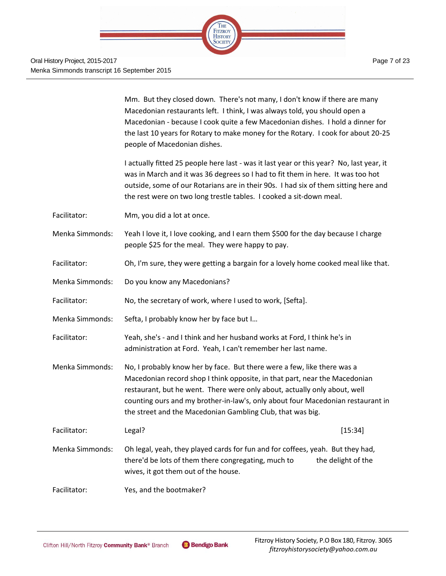

Mm. But they closed down. There's not many, I don't know if there are many Macedonian restaurants left. I think, I was always told, you should open a Macedonian - because I cook quite a few Macedonian dishes. I hold a dinner for the last 10 years for Rotary to make money for the Rotary. I cook for about 20-25 people of Macedonian dishes.

I actually fitted 25 people here last - was it last year or this year? No, last year, it was in March and it was 36 degrees so I had to fit them in here. It was too hot outside, some of our Rotarians are in their 90s. I had six of them sitting here and the rest were on two long trestle tables. I cooked a sit-down meal.

- Facilitator: Mm, you did a lot at once.
- Menka Simmonds: Yeah I love it, I love cooking, and I earn them \$500 for the day because I charge people \$25 for the meal. They were happy to pay.
- Facilitator: Oh, I'm sure, they were getting a bargain for a lovely home cooked meal like that.
- Menka Simmonds: Do you know any Macedonians?
- Facilitator: No, the secretary of work, where I used to work, [Sefta].
- Menka Simmonds: Sefta, I probably know her by face but I…
- Facilitator: Yeah, she's and I think and her husband works at Ford, I think he's in administration at Ford. Yeah, I can't remember her last name.
- Menka Simmonds: No, I probably know her by face. But there were a few, like there was a Macedonian record shop I think opposite, in that part, near the Macedonian restaurant, but he went. There were only about, actually only about, well counting ours and my brother-in-law's, only about four Macedonian restaurant in the street and the Macedonian Gambling Club, that was big.
- Facilitator: Legal? [15:34] Menka Simmonds: Oh legal, yeah, they played cards for fun and for coffees, yeah. But they had, there'd be lots of them there congregating, much to the delight of the

wives, it got them out of the house.

Facilitator: Yes, and the bootmaker?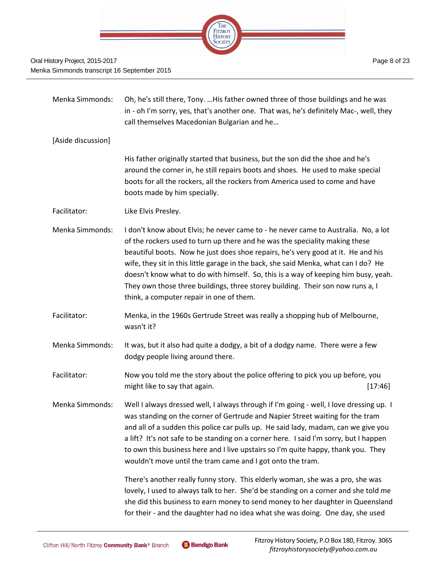

Menka Simmonds: Oh, he's still there, Tony. …His father owned three of those buildings and he was in - oh I'm sorry, yes, that's another one. That was, he's definitely Mac-, well, they call themselves Macedonian Bulgarian and he… [Aside discussion] His father originally started that business, but the son did the shoe and he's around the corner in, he still repairs boots and shoes. He used to make special boots for all the rockers, all the rockers from America used to come and have boots made by him specially. Facilitator: Like Elvis Presley. Menka Simmonds: I don't know about Elvis; he never came to - he never came to Australia. No, a lot of the rockers used to turn up there and he was the speciality making these beautiful boots. Now he just does shoe repairs, he's very good at it. He and his wife, they sit in this little garage in the back, she said Menka, what can I do? He doesn't know what to do with himself. So, this is a way of keeping him busy, yeah. They own those three buildings, three storey building. Their son now runs a, I think, a computer repair in one of them. Facilitator: Menka, in the 1960s Gertrude Street was really a shopping hub of Melbourne, wasn't it? Menka Simmonds: It was, but it also had quite a dodgy, a bit of a dodgy name. There were a few dodgy people living around there. Facilitator: Now you told me the story about the police offering to pick you up before, you might like to say that again. **Example 20** and the same state of  $[17:46]$ Menka Simmonds: Well I always dressed well, I always through if I'm going - well, I love dressing up. I was standing on the corner of Gertrude and Napier Street waiting for the tram and all of a sudden this police car pulls up. He said lady, madam, can we give you a lift? It's not safe to be standing on a corner here. I said I'm sorry, but I happen to own this business here and I live upstairs so I'm quite happy, thank you. They wouldn't move until the tram came and I got onto the tram. There's another really funny story. This elderly woman, she was a pro, she was lovely, I used to always talk to her. She'd be standing on a corner and she told me she did this business to earn money to send money to her daughter in Queensland for their - and the daughter had no idea what she was doing. One day, she used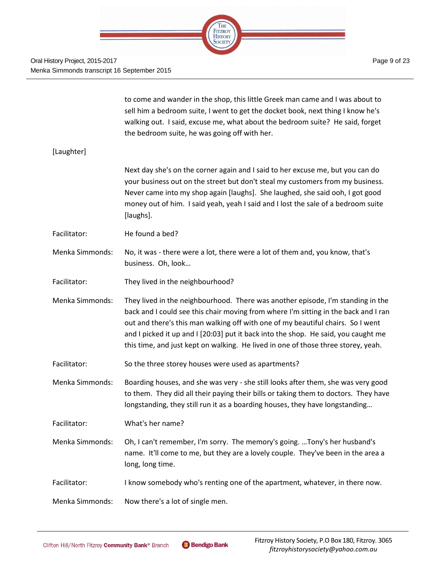

|                        | to come and wander in the shop, this little Greek man came and I was about to<br>sell him a bedroom suite, I went to get the docket book, next thing I know he's<br>walking out. I said, excuse me, what about the bedroom suite? He said, forget<br>the bedroom suite, he was going off with her.                                                                                                                                   |
|------------------------|--------------------------------------------------------------------------------------------------------------------------------------------------------------------------------------------------------------------------------------------------------------------------------------------------------------------------------------------------------------------------------------------------------------------------------------|
| [Laughter]             |                                                                                                                                                                                                                                                                                                                                                                                                                                      |
|                        | Next day she's on the corner again and I said to her excuse me, but you can do<br>your business out on the street but don't steal my customers from my business.<br>Never came into my shop again [laughs]. She laughed, she said ooh, I got good<br>money out of him. I said yeah, yeah I said and I lost the sale of a bedroom suite<br>[laughs].                                                                                  |
| Facilitator:           | He found a bed?                                                                                                                                                                                                                                                                                                                                                                                                                      |
| Menka Simmonds:        | No, it was - there were a lot, there were a lot of them and, you know, that's<br>business. Oh, look                                                                                                                                                                                                                                                                                                                                  |
| Facilitator:           | They lived in the neighbourhood?                                                                                                                                                                                                                                                                                                                                                                                                     |
| <b>Menka Simmonds:</b> | They lived in the neighbourhood. There was another episode, I'm standing in the<br>back and I could see this chair moving from where I'm sitting in the back and I ran<br>out and there's this man walking off with one of my beautiful chairs. So I went<br>and I picked it up and I [20:03] put it back into the shop. He said, you caught me<br>this time, and just kept on walking. He lived in one of those three storey, yeah. |
| Facilitator:           | So the three storey houses were used as apartments?                                                                                                                                                                                                                                                                                                                                                                                  |
| Menka Simmonds:        | Boarding houses, and she was very - she still looks after them, she was very good<br>to them. They did all their paying their bills or taking them to doctors. They have<br>longstanding, they still run it as a boarding houses, they have longstanding                                                                                                                                                                             |
| Facilitator:           | What's her name?                                                                                                                                                                                                                                                                                                                                                                                                                     |
| Menka Simmonds:        | Oh, I can't remember, I'm sorry. The memory's going.  Tony's her husband's<br>name. It'll come to me, but they are a lovely couple. They've been in the area a<br>long, long time.                                                                                                                                                                                                                                                   |
| Facilitator:           | I know somebody who's renting one of the apartment, whatever, in there now.                                                                                                                                                                                                                                                                                                                                                          |
| Menka Simmonds:        | Now there's a lot of single men.                                                                                                                                                                                                                                                                                                                                                                                                     |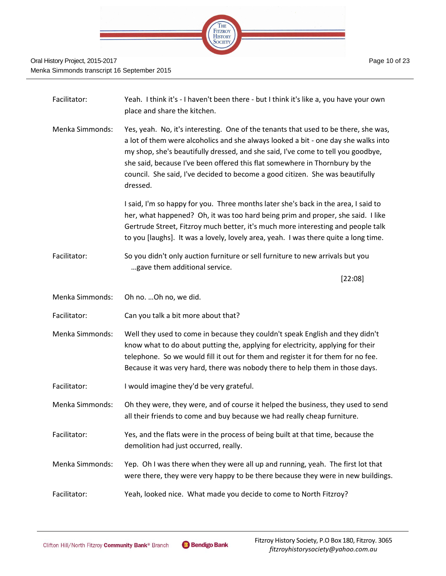

| Facilitator:    | Yeah. I think it's - I haven't been there - but I think it's like a, you have your own<br>place and share the kitchen.                                                                                                                                                                                                                                                                                                                    |
|-----------------|-------------------------------------------------------------------------------------------------------------------------------------------------------------------------------------------------------------------------------------------------------------------------------------------------------------------------------------------------------------------------------------------------------------------------------------------|
| Menka Simmonds: | Yes, yeah. No, it's interesting. One of the tenants that used to be there, she was,<br>a lot of them were alcoholics and she always looked a bit - one day she walks into<br>my shop, she's beautifully dressed, and she said, I've come to tell you goodbye,<br>she said, because I've been offered this flat somewhere in Thornbury by the<br>council. She said, I've decided to become a good citizen. She was beautifully<br>dressed. |
|                 | I said, I'm so happy for you. Three months later she's back in the area, I said to<br>her, what happened? Oh, it was too hard being prim and proper, she said. I like<br>Gertrude Street, Fitzroy much better, it's much more interesting and people talk<br>to you [laughs]. It was a lovely, lovely area, yeah. I was there quite a long time.                                                                                          |
| Facilitator:    | So you didn't only auction furniture or sell furniture to new arrivals but you<br>gave them additional service.<br>[22:08]                                                                                                                                                                                                                                                                                                                |
| Menka Simmonds: | Oh no.  Oh no, we did.                                                                                                                                                                                                                                                                                                                                                                                                                    |
|                 |                                                                                                                                                                                                                                                                                                                                                                                                                                           |
| Facilitator:    | Can you talk a bit more about that?                                                                                                                                                                                                                                                                                                                                                                                                       |
| Menka Simmonds: | Well they used to come in because they couldn't speak English and they didn't<br>know what to do about putting the, applying for electricity, applying for their<br>telephone. So we would fill it out for them and register it for them for no fee.<br>Because it was very hard, there was nobody there to help them in those days.                                                                                                      |
| Facilitator:    | I would imagine they'd be very grateful.                                                                                                                                                                                                                                                                                                                                                                                                  |
| Menka Simmonds: | Oh they were, they were, and of course it helped the business, they used to send<br>all their friends to come and buy because we had really cheap furniture.                                                                                                                                                                                                                                                                              |
| Facilitator:    | Yes, and the flats were in the process of being built at that time, because the<br>demolition had just occurred, really.                                                                                                                                                                                                                                                                                                                  |
| Menka Simmonds: | Yep. Oh I was there when they were all up and running, yeah. The first lot that<br>were there, they were very happy to be there because they were in new buildings.                                                                                                                                                                                                                                                                       |
| Facilitator:    | Yeah, looked nice. What made you decide to come to North Fitzroy?                                                                                                                                                                                                                                                                                                                                                                         |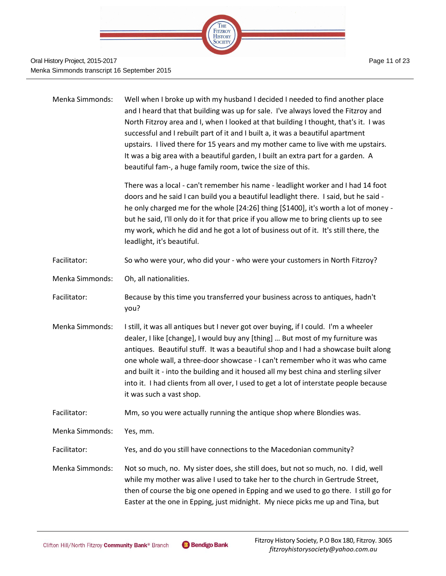

| Menka Simmonds:        | Well when I broke up with my husband I decided I needed to find another place<br>and I heard that that building was up for sale. I've always loved the Fitzroy and<br>North Fitzroy area and I, when I looked at that building I thought, that's it. I was<br>successful and I rebuilt part of it and I built a, it was a beautiful apartment<br>upstairs. I lived there for 15 years and my mother came to live with me upstairs.<br>It was a big area with a beautiful garden, I built an extra part for a garden. A<br>beautiful fam-, a huge family room, twice the size of this. |
|------------------------|---------------------------------------------------------------------------------------------------------------------------------------------------------------------------------------------------------------------------------------------------------------------------------------------------------------------------------------------------------------------------------------------------------------------------------------------------------------------------------------------------------------------------------------------------------------------------------------|
|                        | There was a local - can't remember his name - leadlight worker and I had 14 foot<br>doors and he said I can build you a beautiful leadlight there. I said, but he said -<br>he only charged me for the whole [24:26] thing [\$1400], it's worth a lot of money -<br>but he said, I'll only do it for that price if you allow me to bring clients up to see<br>my work, which he did and he got a lot of business out of it. It's still there, the<br>leadlight, it's beautiful.                                                                                                       |
| Facilitator:           | So who were your, who did your - who were your customers in North Fitzroy?                                                                                                                                                                                                                                                                                                                                                                                                                                                                                                            |
| Menka Simmonds:        | Oh, all nationalities.                                                                                                                                                                                                                                                                                                                                                                                                                                                                                                                                                                |
| Facilitator:           | Because by this time you transferred your business across to antiques, hadn't<br>you?                                                                                                                                                                                                                                                                                                                                                                                                                                                                                                 |
| Menka Simmonds:        | I still, it was all antiques but I never got over buying, if I could. I'm a wheeler<br>dealer, I like [change], I would buy any [thing]  But most of my furniture was<br>antiques. Beautiful stuff. It was a beautiful shop and I had a showcase built along<br>one whole wall, a three-door showcase - I can't remember who it was who came<br>and built it - into the building and it housed all my best china and sterling silver<br>into it. I had clients from all over, I used to get a lot of interstate people because<br>it was such a vast shop.                            |
| Facilitator:           | Mm, so you were actually running the antique shop where Blondies was.                                                                                                                                                                                                                                                                                                                                                                                                                                                                                                                 |
| <b>Menka Simmonds:</b> | Yes, mm.                                                                                                                                                                                                                                                                                                                                                                                                                                                                                                                                                                              |
| Facilitator:           | Yes, and do you still have connections to the Macedonian community?                                                                                                                                                                                                                                                                                                                                                                                                                                                                                                                   |
| Menka Simmonds:        | Not so much, no. My sister does, she still does, but not so much, no. I did, well<br>while my mother was alive I used to take her to the church in Gertrude Street,<br>then of course the big one opened in Epping and we used to go there. I still go for<br>Easter at the one in Epping, just midnight. My niece picks me up and Tina, but                                                                                                                                                                                                                                          |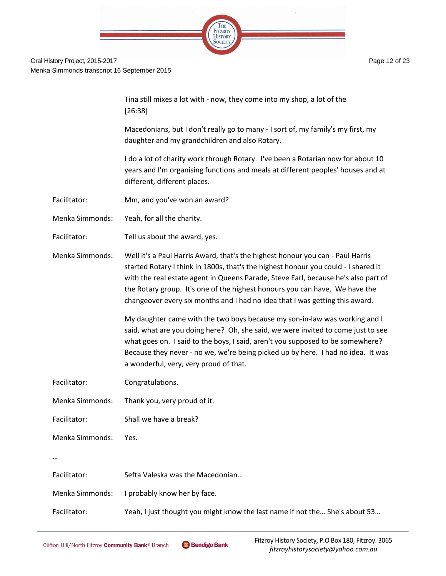

Tina still mixes a lot with - now, they come into my shop, a lot of the [26:38]

Macedonians, but I don't really go to many - I sort of, my family's my first, my daughter and my grandchildren and also Rotary.

I do a lot of charity work through Rotary. I've been a Rotarian now for about 10 years and I'm organising functions and meals at different peoples' houses and at different, different places.

- Facilitator: Mm, and you've won an award?
- Menka Simmonds: Yeah, for all the charity.
- Facilitator: Tell us about the award, yes.

Menka Simmonds: Well it's a Paul Harris Award, that's the highest honour you can - Paul Harris started Rotary I think in 1800s, that's the highest honour you could - I shared it with the real estate agent in Queens Parade, Steve Earl, because he's also part of the Rotary group. It's one of the highest honours you can have. We have the changeover every six months and I had no idea that I was getting this award.

> My daughter came with the two boys because my son-in-law was working and I said, what are you doing here? Oh, she said, we were invited to come just to see what goes on. I said to the boys, I said, aren't you supposed to be somewhere? Because they never - no we, we're being picked up by here. I had no idea. It was a wonderful, very, very proud of that.

Facilitator: Congratulations.

Menka Simmonds: Yes.

- Menka Simmonds: Thank you, very proud of it.
- Facilitator: Shall we have a break?

…

- Facilitator: Sefta Valeska was the Macedonian…
- Menka Simmonds: I probably know her by face.

Facilitator: Yeah, I just thought you might know the last name if not the... She's about 53...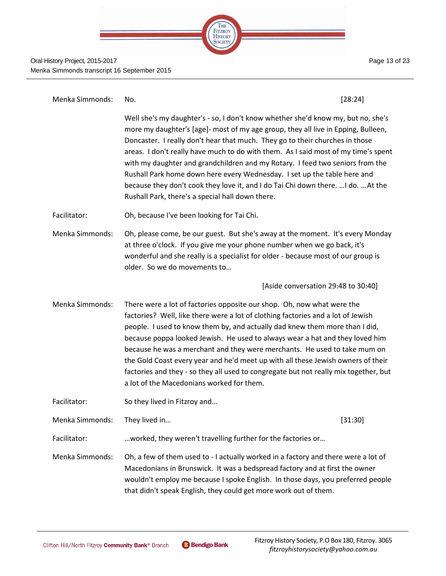

Oral History Project, 2015-2017 Menka Simmonds transcript 16 September 2015

Page 13 of 23

| Menka Simmonds: | No.                                                                                                                                                                                                                                                                                                                                                                                                                                                                                                                                                                                                                                               | [28:24]                             |
|-----------------|---------------------------------------------------------------------------------------------------------------------------------------------------------------------------------------------------------------------------------------------------------------------------------------------------------------------------------------------------------------------------------------------------------------------------------------------------------------------------------------------------------------------------------------------------------------------------------------------------------------------------------------------------|-------------------------------------|
|                 | Well she's my daughter's - so, I don't know whether she'd know my, but no, she's<br>more my daughter's [age]- most of my age group, they all live in Epping, Bulleen,<br>Doncaster. I really don't hear that much. They go to their churches in those<br>areas. I don't really have much to do with them. As I said most of my time's spent<br>with my daughter and grandchildren and my Rotary. I feed two seniors from the<br>Rushall Park home down here every Wednesday. I set up the table here and<br>because they don't cook they love it, and I do Tai Chi down there.  I do.  At the<br>Rushall Park, there's a special hall down there. |                                     |
| Facilitator:    | Oh, because I've been looking for Tai Chi.                                                                                                                                                                                                                                                                                                                                                                                                                                                                                                                                                                                                        |                                     |
| Menka Simmonds: | Oh, please come, be our guest. But she's away at the moment. It's every Monday<br>at three o'clock. If you give me your phone number when we go back, it's<br>wonderful and she really is a specialist for older - because most of our group is<br>older. So we do movements to                                                                                                                                                                                                                                                                                                                                                                   |                                     |
|                 |                                                                                                                                                                                                                                                                                                                                                                                                                                                                                                                                                                                                                                                   | [Aside conversation 29:48 to 30:40] |
| Menka Simmonds: | There were a lot of factories opposite our shop. Oh, now what were the<br>factories? Well, like there were a lot of clothing factories and a lot of Jewish<br>people. I used to know them by, and actually dad knew them more than I did,<br>because poppa looked Jewish. He used to always wear a hat and they loved him<br>because he was a merchant and they were merchants. He used to take mum on<br>the Gold Coast every year and he'd meet up with all these Jewish owners of their<br>factories and they - so they all used to congregate but not really mix together, but<br>a lot of the Macedonians worked for them.                   |                                     |
| Facilitator:    | So they lived in Fitzroy and                                                                                                                                                                                                                                                                                                                                                                                                                                                                                                                                                                                                                      |                                     |
| Menka Simmonds: | They lived in                                                                                                                                                                                                                                                                                                                                                                                                                                                                                                                                                                                                                                     | [31:30]                             |
| Facilitator:    | worked, they weren't travelling further for the factories or                                                                                                                                                                                                                                                                                                                                                                                                                                                                                                                                                                                      |                                     |
| Menka Simmonds: | Oh, a few of them used to - I actually worked in a factory and there were a lot of<br>Macedonians in Brunswick. It was a bedspread factory and at first the owner<br>wouldn't employ me because I spoke English. In those days, you preferred people<br>that didn't speak English, they could get more work out of them.                                                                                                                                                                                                                                                                                                                          |                                     |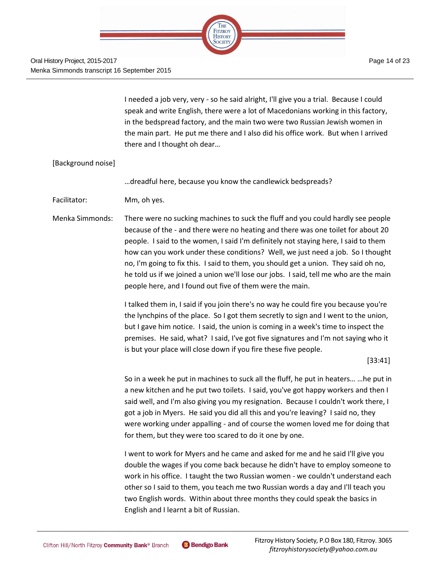

I needed a job very, very - so he said alright, I'll give you a trial. Because I could speak and write English, there were a lot of Macedonians working in this factory, in the bedspread factory, and the main two were two Russian Jewish women in the main part. He put me there and I also did his office work. But when I arrived there and I thought oh dear…

### [Background noise]

…dreadful here, because you know the candlewick bedspreads?

Facilitator: Mm, oh yes.

Menka Simmonds: There were no sucking machines to suck the fluff and you could hardly see people because of the - and there were no heating and there was one toilet for about 20 people. I said to the women, I said I'm definitely not staying here, I said to them how can you work under these conditions? Well, we just need a job. So I thought no, I'm going to fix this. I said to them, you should get a union. They said oh no, he told us if we joined a union we'll lose our jobs. I said, tell me who are the main people here, and I found out five of them were the main.

> I talked them in, I said if you join there's no way he could fire you because you're the lynchpins of the place. So I got them secretly to sign and I went to the union, but I gave him notice. I said, the union is coming in a week's time to inspect the premises. He said, what? I said, I've got five signatures and I'm not saying who it is but your place will close down if you fire these five people.

> > [33:41]

So in a week he put in machines to suck all the fluff, he put in heaters… …he put in a new kitchen and he put two toilets. I said, you've got happy workers and then I said well, and I'm also giving you my resignation. Because I couldn't work there, I got a job in Myers. He said you did all this and you're leaving? I said no, they were working under appalling - and of course the women loved me for doing that for them, but they were too scared to do it one by one.

I went to work for Myers and he came and asked for me and he said I'll give you double the wages if you come back because he didn't have to employ someone to work in his office. I taught the two Russian women - we couldn't understand each other so I said to them, you teach me two Russian words a day and I'll teach you two English words. Within about three months they could speak the basics in English and I learnt a bit of Russian.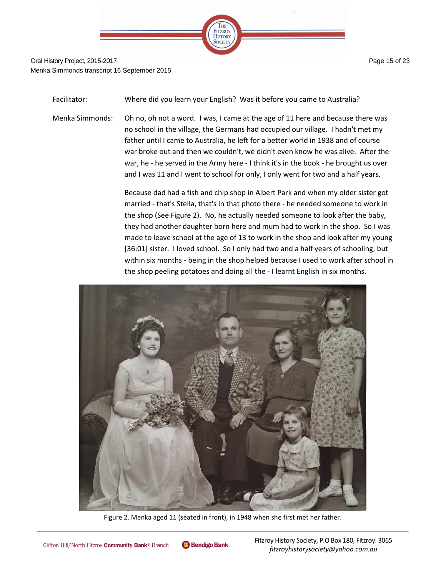

Facilitator: Where did you learn your English? Was it before you came to Australia?

Menka Simmonds: Oh no, oh not a word. I was, I came at the age of 11 here and because there was no school in the village, the Germans had occupied our village. I hadn't met my father until I came to Australia, he left for a better world in 1938 and of course war broke out and then we couldn't, we didn't even know he was alive. After the war, he - he served in the Army here - I think it's in the book - he brought us over and I was 11 and I went to school for only, I only went for two and a half years.

> Because dad had a fish and chip shop in Albert Park and when my older sister got married - that's Stella, that's in that photo there - he needed someone to work in the shop (See Figure 2). No, he actually needed someone to look after the baby, they had another daughter born here and mum had to work in the shop. So I was made to leave school at the age of 13 to work in the shop and look after my young [36:01] sister. I loved school. So I only had two and a half years of schooling, but within six months - being in the shop helped because I used to work after school in the shop peeling potatoes and doing all the - I learnt English in six months.



Figure 2. Menka aged 11 (seated in front), in 1948 when she first met her father.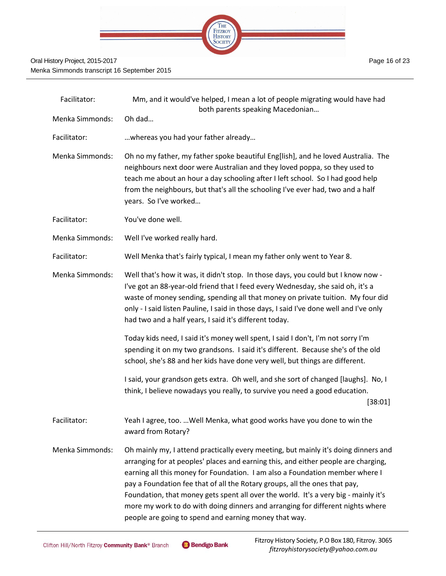

| Facilitator:           | Mm, and it would've helped, I mean a lot of people migrating would have had<br>both parents speaking Macedonian                                                                                                                                                                                                                                                                                                                                                                                                                                                           |
|------------------------|---------------------------------------------------------------------------------------------------------------------------------------------------------------------------------------------------------------------------------------------------------------------------------------------------------------------------------------------------------------------------------------------------------------------------------------------------------------------------------------------------------------------------------------------------------------------------|
| <b>Menka Simmonds:</b> | Oh dad                                                                                                                                                                                                                                                                                                                                                                                                                                                                                                                                                                    |
| Facilitator:           | whereas you had your father already                                                                                                                                                                                                                                                                                                                                                                                                                                                                                                                                       |
| <b>Menka Simmonds:</b> | Oh no my father, my father spoke beautiful Eng[lish], and he loved Australia. The<br>neighbours next door were Australian and they loved poppa, so they used to<br>teach me about an hour a day schooling after I left school. So I had good help<br>from the neighbours, but that's all the schooling I've ever had, two and a half<br>years. So I've worked                                                                                                                                                                                                             |
| Facilitator:           | You've done well.                                                                                                                                                                                                                                                                                                                                                                                                                                                                                                                                                         |
| Menka Simmonds:        | Well I've worked really hard.                                                                                                                                                                                                                                                                                                                                                                                                                                                                                                                                             |
| Facilitator:           | Well Menka that's fairly typical, I mean my father only went to Year 8.                                                                                                                                                                                                                                                                                                                                                                                                                                                                                                   |
| Menka Simmonds:        | Well that's how it was, it didn't stop. In those days, you could but I know now -<br>I've got an 88-year-old friend that I feed every Wednesday, she said oh, it's a<br>waste of money sending, spending all that money on private tuition. My four did<br>only - I said listen Pauline, I said in those days, I said I've done well and I've only<br>had two and a half years, I said it's different today.                                                                                                                                                              |
|                        | Today kids need, I said it's money well spent, I said I don't, I'm not sorry I'm<br>spending it on my two grandsons. I said it's different. Because she's of the old<br>school, she's 88 and her kids have done very well, but things are different.                                                                                                                                                                                                                                                                                                                      |
|                        | I said, your grandson gets extra. Oh well, and she sort of changed [laughs]. No, I<br>think, I believe nowadays you really, to survive you need a good education.<br>[38:01]                                                                                                                                                                                                                                                                                                                                                                                              |
| Facilitator:           | Yeah I agree, too.  Well Menka, what good works have you done to win the<br>award from Rotary?                                                                                                                                                                                                                                                                                                                                                                                                                                                                            |
| Menka Simmonds:        | Oh mainly my, I attend practically every meeting, but mainly it's doing dinners and<br>arranging for at peoples' places and earning this, and either people are charging,<br>earning all this money for Foundation. I am also a Foundation member where I<br>pay a Foundation fee that of all the Rotary groups, all the ones that pay,<br>Foundation, that money gets spent all over the world. It's a very big - mainly it's<br>more my work to do with doing dinners and arranging for different nights where<br>people are going to spend and earning money that way. |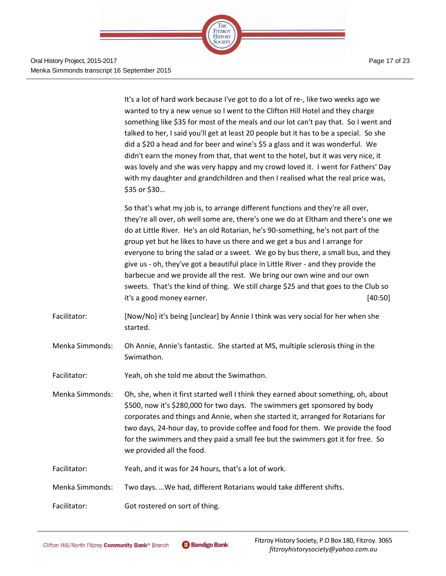

Oral History Project, 2015-2017 Menka Simmonds transcript 16 September 2015

It's a lot of hard work because I've got to do a lot of re-, like two weeks ago we wanted to try a new venue so I went to the Clifton Hill Hotel and they charge something like \$35 for most of the meals and our lot can't pay that. So I went and talked to her, I said you'll get at least 20 people but it has to be a special. So she did a \$20 a head and for beer and wine's \$5 a glass and it was wonderful. We didn't earn the money from that, that went to the hotel, but it was very nice, it was lovely and she was very happy and my crowd loved it. I went for Fathers' Day with my daughter and grandchildren and then I realised what the real price was, \$35 or \$30…

So that's what my job is, to arrange different functions and they're all over, they're all over, oh well some are, there's one we do at Eltham and there's one we do at Little River. He's an old Rotarian, he's 90-something, he's not part of the group yet but he likes to have us there and we get a bus and I arrange for everyone to bring the salad or a sweet. We go by bus there, a small bus, and they give us - oh, they've got a beautiful place in Little River - and they provide the barbecue and we provide all the rest. We bring our own wine and our own sweets. That's the kind of thing. We still charge \$25 and that goes to the Club so it's a good money earner. [40:50]

- Facilitator: [Now/No] it's being [unclear] by Annie I think was very social for her when she started.
- Menka Simmonds: Oh Annie, Annie's fantastic. She started at MS, multiple sclerosis thing in the Swimathon.
- Facilitator: Yeah, oh she told me about the Swimathon.
- Menka Simmonds: Oh, she, when it first started well I think they earned about something, oh, about \$500, now it's \$280,000 for two days. The swimmers get sponsored by body corporates and things and Annie, when she started it, arranged for Rotarians for two days, 24-hour day, to provide coffee and food for them. We provide the food for the swimmers and they paid a small fee but the swimmers got it for free. So we provided all the food.
- Facilitator: Yeah, and it was for 24 hours, that's a lot of work.
- Menka Simmonds: Two days. …We had, different Rotarians would take different shifts.
- Facilitator: Got rostered on sort of thing.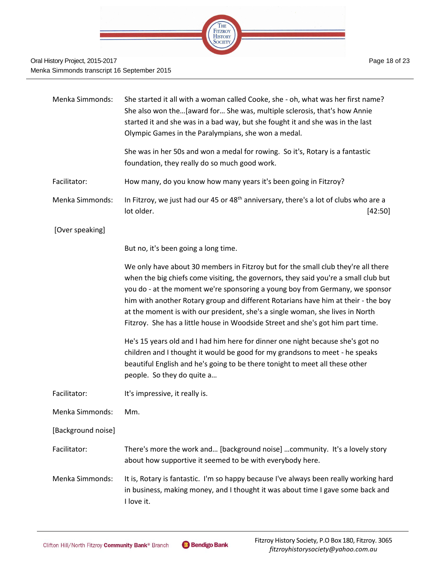

| Menka Simmonds:    | She started it all with a woman called Cooke, she - oh, what was her first name?<br>She also won the[award for She was, multiple sclerosis, that's how Annie<br>started it and she was in a bad way, but she fought it and she was in the last<br>Olympic Games in the Paralympians, she won a medal.                                                                                                                                                                                                             |
|--------------------|-------------------------------------------------------------------------------------------------------------------------------------------------------------------------------------------------------------------------------------------------------------------------------------------------------------------------------------------------------------------------------------------------------------------------------------------------------------------------------------------------------------------|
|                    | She was in her 50s and won a medal for rowing. So it's, Rotary is a fantastic<br>foundation, they really do so much good work.                                                                                                                                                                                                                                                                                                                                                                                    |
| Facilitator:       | How many, do you know how many years it's been going in Fitzroy?                                                                                                                                                                                                                                                                                                                                                                                                                                                  |
| Menka Simmonds:    | In Fitzroy, we just had our 45 or 48 <sup>th</sup> anniversary, there's a lot of clubs who are a<br>lot older.<br>[42:50]                                                                                                                                                                                                                                                                                                                                                                                         |
| [Over speaking]    |                                                                                                                                                                                                                                                                                                                                                                                                                                                                                                                   |
|                    | But no, it's been going a long time.                                                                                                                                                                                                                                                                                                                                                                                                                                                                              |
|                    | We only have about 30 members in Fitzroy but for the small club they're all there<br>when the big chiefs come visiting, the governors, they said you're a small club but<br>you do - at the moment we're sponsoring a young boy from Germany, we sponsor<br>him with another Rotary group and different Rotarians have him at their - the boy<br>at the moment is with our president, she's a single woman, she lives in North<br>Fitzroy. She has a little house in Woodside Street and she's got him part time. |
|                    | He's 15 years old and I had him here for dinner one night because she's got no<br>children and I thought it would be good for my grandsons to meet - he speaks<br>beautiful English and he's going to be there tonight to meet all these other<br>people. So they do quite a                                                                                                                                                                                                                                      |
| Facilitator:       | It's impressive, it really is.                                                                                                                                                                                                                                                                                                                                                                                                                                                                                    |
| Menka Simmonds:    | Mm.                                                                                                                                                                                                                                                                                                                                                                                                                                                                                                               |
| [Background noise] |                                                                                                                                                                                                                                                                                                                                                                                                                                                                                                                   |
| Facilitator:       | There's more the work and [background noise] community. It's a lovely story<br>about how supportive it seemed to be with everybody here.                                                                                                                                                                                                                                                                                                                                                                          |
| Menka Simmonds:    | It is, Rotary is fantastic. I'm so happy because I've always been really working hard<br>in business, making money, and I thought it was about time I gave some back and<br>I love it.                                                                                                                                                                                                                                                                                                                            |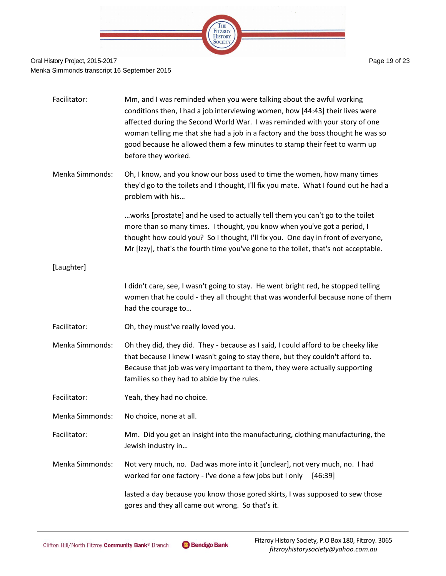

### Oral History Project, 2015-2017 Menka Simmonds transcript 16 September 2015

| Facilitator:    | Mm, and I was reminded when you were talking about the awful working<br>conditions then, I had a job interviewing women, how [44:43] their lives were<br>affected during the Second World War. I was reminded with your story of one<br>woman telling me that she had a job in a factory and the boss thought he was so<br>good because he allowed them a few minutes to stamp their feet to warm up<br>before they worked. |
|-----------------|-----------------------------------------------------------------------------------------------------------------------------------------------------------------------------------------------------------------------------------------------------------------------------------------------------------------------------------------------------------------------------------------------------------------------------|
| Menka Simmonds: | Oh, I know, and you know our boss used to time the women, how many times<br>they'd go to the toilets and I thought, I'll fix you mate. What I found out he had a<br>problem with his                                                                                                                                                                                                                                        |
|                 | works [prostate] and he used to actually tell them you can't go to the toilet<br>more than so many times. I thought, you know when you've got a period, I<br>thought how could you? So I thought, I'll fix you. One day in front of everyone,<br>Mr [Izzy], that's the fourth time you've gone to the toilet, that's not acceptable.                                                                                        |
| [Laughter]      |                                                                                                                                                                                                                                                                                                                                                                                                                             |
|                 | I didn't care, see, I wasn't going to stay. He went bright red, he stopped telling<br>women that he could - they all thought that was wonderful because none of them<br>had the courage to                                                                                                                                                                                                                                  |
| Facilitator:    | Oh, they must've really loved you.                                                                                                                                                                                                                                                                                                                                                                                          |
| Menka Simmonds: | Oh they did, they did. They - because as I said, I could afford to be cheeky like<br>that because I knew I wasn't going to stay there, but they couldn't afford to.<br>Because that job was very important to them, they were actually supporting<br>families so they had to abide by the rules.                                                                                                                            |
| Facilitator:    | Yeah, they had no choice.                                                                                                                                                                                                                                                                                                                                                                                                   |
| Menka Simmonds: | No choice, none at all.                                                                                                                                                                                                                                                                                                                                                                                                     |
| Facilitator:    | Mm. Did you get an insight into the manufacturing, clothing manufacturing, the<br>Jewish industry in                                                                                                                                                                                                                                                                                                                        |
| Menka Simmonds: | Not very much, no. Dad was more into it [unclear], not very much, no. I had<br>worked for one factory - I've done a few jobs but I only<br>[46:39]                                                                                                                                                                                                                                                                          |
|                 | lasted a day because you know those gored skirts, I was supposed to sew those<br>gores and they all came out wrong. So that's it.                                                                                                                                                                                                                                                                                           |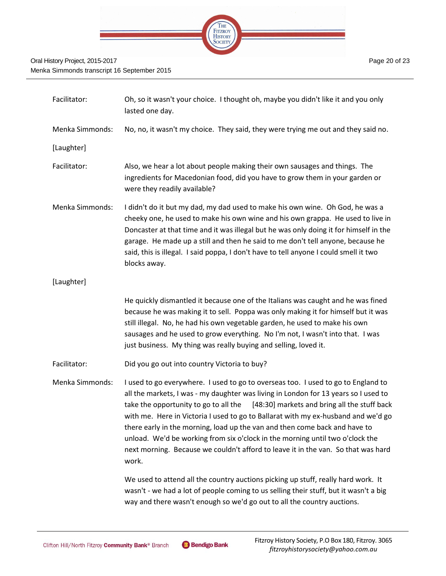

| Facilitator:           | Oh, so it wasn't your choice. I thought oh, maybe you didn't like it and you only<br>lasted one day.                                                                                                                                                                                                                                                                                                                                                                                                                                                                                                                |
|------------------------|---------------------------------------------------------------------------------------------------------------------------------------------------------------------------------------------------------------------------------------------------------------------------------------------------------------------------------------------------------------------------------------------------------------------------------------------------------------------------------------------------------------------------------------------------------------------------------------------------------------------|
| <b>Menka Simmonds:</b> | No, no, it wasn't my choice. They said, they were trying me out and they said no.                                                                                                                                                                                                                                                                                                                                                                                                                                                                                                                                   |
| [Laughter]             |                                                                                                                                                                                                                                                                                                                                                                                                                                                                                                                                                                                                                     |
| Facilitator:           | Also, we hear a lot about people making their own sausages and things. The<br>ingredients for Macedonian food, did you have to grow them in your garden or<br>were they readily available?                                                                                                                                                                                                                                                                                                                                                                                                                          |
| <b>Menka Simmonds:</b> | I didn't do it but my dad, my dad used to make his own wine. Oh God, he was a<br>cheeky one, he used to make his own wine and his own grappa. He used to live in<br>Doncaster at that time and it was illegal but he was only doing it for himself in the<br>garage. He made up a still and then he said to me don't tell anyone, because he<br>said, this is illegal. I said poppa, I don't have to tell anyone I could smell it two<br>blocks away.                                                                                                                                                               |
| [Laughter]             |                                                                                                                                                                                                                                                                                                                                                                                                                                                                                                                                                                                                                     |
|                        | He quickly dismantled it because one of the Italians was caught and he was fined<br>because he was making it to sell. Poppa was only making it for himself but it was<br>still illegal. No, he had his own vegetable garden, he used to make his own<br>sausages and he used to grow everything. No I'm not, I wasn't into that. I was<br>just business. My thing was really buying and selling, loved it.                                                                                                                                                                                                          |
| Facilitator:           | Did you go out into country Victoria to buy?                                                                                                                                                                                                                                                                                                                                                                                                                                                                                                                                                                        |
| <b>Menka Simmonds:</b> | I used to go everywhere. I used to go to overseas too. I used to go to England to<br>all the markets, I was - my daughter was living in London for 13 years so I used to<br>take the opportunity to go to all the<br>[48:30] markets and bring all the stuff back<br>with me. Here in Victoria I used to go to Ballarat with my ex-husband and we'd go<br>there early in the morning, load up the van and then come back and have to<br>unload. We'd be working from six o'clock in the morning until two o'clock the<br>next morning. Because we couldn't afford to leave it in the van. So that was hard<br>work. |
|                        | We used to attend all the country auctions picking up stuff, really hard work. It<br>wasn't - we had a lot of people coming to us selling their stuff, but it wasn't a big<br>way and there wasn't enough so we'd go out to all the country auctions.                                                                                                                                                                                                                                                                                                                                                               |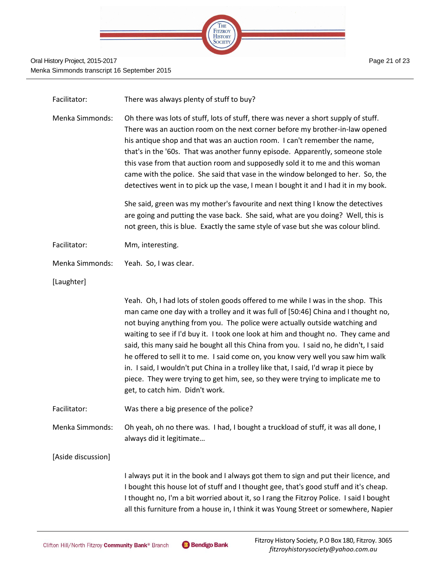

| Facilitator:       | There was always plenty of stuff to buy?                                                                                                                                                                                                                                                                                                                                                                                                                                                                                                                                                                                                                                                                                               |
|--------------------|----------------------------------------------------------------------------------------------------------------------------------------------------------------------------------------------------------------------------------------------------------------------------------------------------------------------------------------------------------------------------------------------------------------------------------------------------------------------------------------------------------------------------------------------------------------------------------------------------------------------------------------------------------------------------------------------------------------------------------------|
| Menka Simmonds:    | Oh there was lots of stuff, lots of stuff, there was never a short supply of stuff.<br>There was an auction room on the next corner before my brother-in-law opened<br>his antique shop and that was an auction room. I can't remember the name,<br>that's in the '60s. That was another funny episode. Apparently, someone stole<br>this vase from that auction room and supposedly sold it to me and this woman<br>came with the police. She said that vase in the window belonged to her. So, the<br>detectives went in to pick up the vase, I mean I bought it and I had it in my book.                                                                                                                                            |
|                    | She said, green was my mother's favourite and next thing I know the detectives<br>are going and putting the vase back. She said, what are you doing? Well, this is<br>not green, this is blue. Exactly the same style of vase but she was colour blind.                                                                                                                                                                                                                                                                                                                                                                                                                                                                                |
| Facilitator:       | Mm, interesting.                                                                                                                                                                                                                                                                                                                                                                                                                                                                                                                                                                                                                                                                                                                       |
| Menka Simmonds:    | Yeah. So, I was clear.                                                                                                                                                                                                                                                                                                                                                                                                                                                                                                                                                                                                                                                                                                                 |
| [Laughter]         |                                                                                                                                                                                                                                                                                                                                                                                                                                                                                                                                                                                                                                                                                                                                        |
|                    | Yeah. Oh, I had lots of stolen goods offered to me while I was in the shop. This<br>man came one day with a trolley and it was full of [50:46] China and I thought no,<br>not buying anything from you. The police were actually outside watching and<br>waiting to see if I'd buy it. I took one look at him and thought no. They came and<br>said, this many said he bought all this China from you. I said no, he didn't, I said<br>he offered to sell it to me. I said come on, you know very well you saw him walk<br>in. I said, I wouldn't put China in a trolley like that, I said, I'd wrap it piece by<br>piece. They were trying to get him, see, so they were trying to implicate me to<br>get, to catch him. Didn't work. |
| Facilitator:       | Was there a big presence of the police?                                                                                                                                                                                                                                                                                                                                                                                                                                                                                                                                                                                                                                                                                                |
| Menka Simmonds:    | Oh yeah, oh no there was. I had, I bought a truckload of stuff, it was all done, I<br>always did it legitimate                                                                                                                                                                                                                                                                                                                                                                                                                                                                                                                                                                                                                         |
| [Aside discussion] |                                                                                                                                                                                                                                                                                                                                                                                                                                                                                                                                                                                                                                                                                                                                        |
|                    | I always put it in the book and I always got them to sign and put their licence, and<br>I bought this house lot of stuff and I thought gee, that's good stuff and it's cheap.<br>I thought no, I'm a bit worried about it, so I rang the Fitzroy Police. I said I bought<br>all this furniture from a house in, I think it was Young Street or somewhere, Napier                                                                                                                                                                                                                                                                                                                                                                       |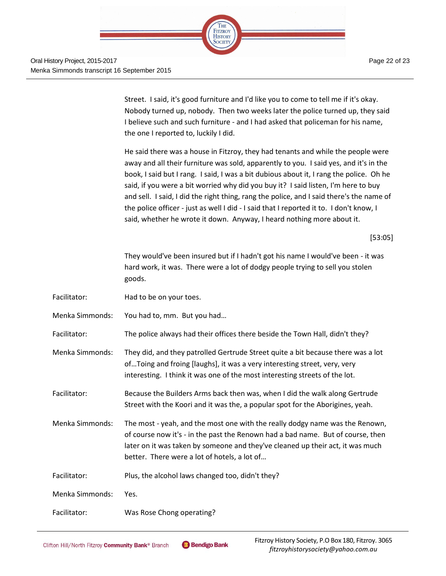

Page 22 of 23

Street. I said, it's good furniture and I'd like you to come to tell me if it's okay. Nobody turned up, nobody. Then two weeks later the police turned up, they said I believe such and such furniture - and I had asked that policeman for his name, the one I reported to, luckily I did.

He said there was a house in Fitzroy, they had tenants and while the people were away and all their furniture was sold, apparently to you. I said yes, and it's in the book, I said but I rang. I said, I was a bit dubious about it, I rang the police. Oh he said, if you were a bit worried why did you buy it? I said listen, I'm here to buy and sell. I said, I did the right thing, rang the police, and I said there's the name of the police officer - just as well I did - I said that I reported it to. I don't know, I said, whether he wrote it down. Anyway, I heard nothing more about it.

[53:05]

They would've been insured but if I hadn't got his name I would've been - it was hard work, it was. There were a lot of dodgy people trying to sell you stolen goods.

Facilitator: Had to be on your toes.

Menka Simmonds: You had to, mm. But you had…

Facilitator: The police always had their offices there beside the Town Hall, didn't they?

Menka Simmonds: They did, and they patrolled Gertrude Street quite a bit because there was a lot of…Toing and froing [laughs], it was a very interesting street, very, very interesting. I think it was one of the most interesting streets of the lot.

Facilitator: Because the Builders Arms back then was, when I did the walk along Gertrude Street with the Koori and it was the, a popular spot for the Aborigines, yeah.

Menka Simmonds: The most - yeah, and the most one with the really dodgy name was the Renown, of course now it's - in the past the Renown had a bad name. But of course, then later on it was taken by someone and they've cleaned up their act, it was much better. There were a lot of hotels, a lot of…

Facilitator: Plus, the alcohol laws changed too, didn't they?

Menka Simmonds: Yes.

Facilitator: Was Rose Chong operating?